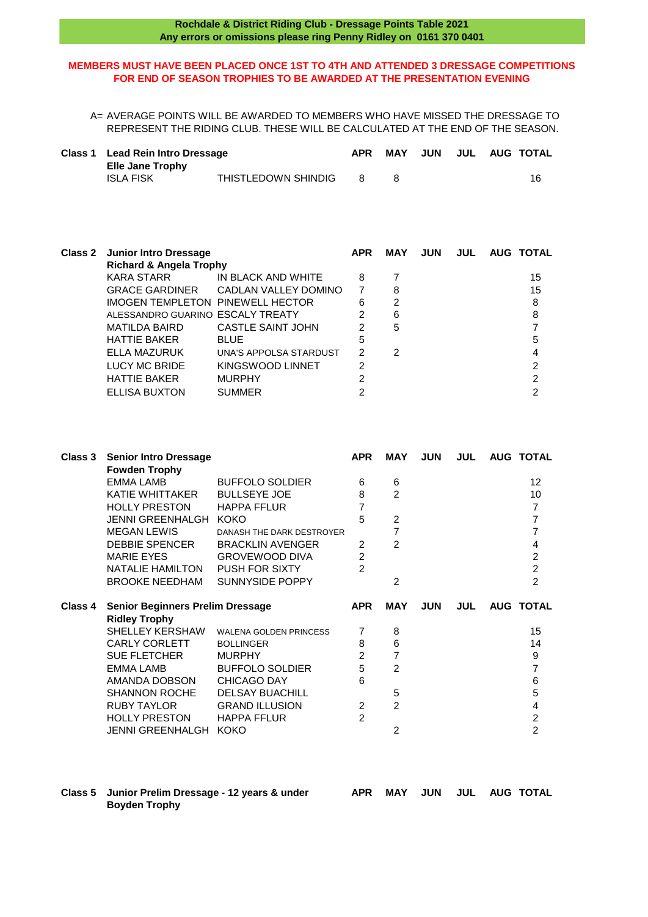## **MEMBERS MUST HAVE BEEN PLACED ONCE 1ST TO 4TH AND ATTENDED 3 DRESSAGE COMPETITIONS FOR END OF SEASON TROPHIES TO BE AWARDED AT THE PRESENTATION EVENING**

A= AVERAGE POINTS WILL BE AWARDED TO MEMBERS WHO HAVE MISSED THE DRESSAGE TO REPRESENT THE RIDING CLUB. THESE WILL BE CALCULATED AT THE END OF THE SEASON.

| Class 1 Lead Rein Intro Dressage            |                     | <b>APR</b> | MAY | JUN |  | JUL AUG TOTAL |
|---------------------------------------------|---------------------|------------|-----|-----|--|---------------|
| <b>Elle Jane Trophy</b><br><b>ISLA FISK</b> | THISTLEDOWN SHINDIG |            |     |     |  | 16            |

| <b>Class 2</b> | <b>Junior Intro Dressage</b>       |                        | <b>APR</b>    | <b>MAY</b> | <b>JUN</b> | <b>JUL</b> | <b>AUG TOTAL</b> |
|----------------|------------------------------------|------------------------|---------------|------------|------------|------------|------------------|
|                | <b>Richard &amp; Angela Trophy</b> |                        |               |            |            |            |                  |
|                | KARA STARR                         | IN BLACK AND WHITE     | 8             |            |            |            | 15               |
|                | <b>GRACE GARDINER</b>              | CADLAN VALLEY DOMINO   | 7             | 8          |            |            | 15               |
|                | IMOGEN TEMPLETON PINEWELL HECTOR   |                        | 6             | 2          |            |            | 8                |
|                | ALESSANDRO GUARINO ESCALY TREATY   |                        | $\mathcal{P}$ | 6          |            |            | 8                |
|                | MATILDA BAIRD                      | CASTLE SAINT JOHN      | $\mathcal{P}$ | 5          |            |            |                  |
|                | <b>HATTIE BAKER</b>                | <b>BLUE</b>            | 5             |            |            |            | 5                |
|                | ELLA MAZURUK                       | UNA'S APPOLSA STARDUST | 2             | 2          |            |            | 4                |
|                | <b>LUCY MC BRIDE</b>               | KINGSWOOD LINNET       | 2             |            |            |            | 2                |
|                | <b>HATTIE BAKER</b>                | <b>MURPHY</b>          | 2             |            |            |            | $\mathfrak{p}$   |
|                | <b>ELLISA BUXTON</b>               | <b>SUMMER</b>          |               |            |            |            | າ                |
|                |                                    |                        |               |            |            |            |                  |

| Class 3 | <b>Senior Intro Dressage</b><br><b>Fowden Trophy</b> |                               | <b>APR</b>     | <b>MAY</b>     | <b>JUN</b> | <b>JUL</b> | <b>AUG TOTAL</b> |
|---------|------------------------------------------------------|-------------------------------|----------------|----------------|------------|------------|------------------|
|         | <b>EMMA LAMB</b>                                     | <b>BUFFOLO SOLDIER</b>        | 6              | 6              |            |            | 12               |
|         | <b>KATIE WHITTAKER</b>                               | <b>BULLSEYE JOE</b>           | 8              | $\overline{2}$ |            |            | 10               |
|         | <b>HOLLY PRESTON</b>                                 | <b>HAPPA FFLUR</b>            | 7              |                |            |            | $\overline{7}$   |
|         | <b>JENNI GREENHALGH</b>                              | <b>KOKO</b>                   | 5              | 2              |            |            | 7                |
|         | <b>MEGAN LEWIS</b>                                   | DANASH THE DARK DESTROYER     |                | 7              |            |            | 7                |
|         | <b>DEBBIE SPENCER</b>                                | <b>BRACKLIN AVENGER</b>       | 2              | $\overline{2}$ |            |            | 4                |
|         | <b>MARIE EYES</b>                                    | <b>GROVEWOOD DIVA</b>         | $\overline{c}$ |                |            |            | $\boldsymbol{2}$ |
|         | NATALIE HAMILTON                                     | <b>PUSH FOR SIXTY</b>         | $\mathfrak{p}$ |                |            |            | $\overline{2}$   |
|         | <b>BROOKE NEEDHAM</b>                                | <b>SUNNYSIDE POPPY</b>        |                | 2              |            |            | $\overline{2}$   |
|         |                                                      |                               |                |                |            |            |                  |
| Class 4 | <b>Senior Beginners Prelim Dressage</b>              |                               | <b>APR</b>     | <b>MAY</b>     | <b>JUN</b> | <b>JUL</b> | <b>AUG TOTAL</b> |
|         | <b>Ridley Trophy</b>                                 |                               |                |                |            |            |                  |
|         | <b>SHELLEY KERSHAW</b>                               | <b>WALENA GOLDEN PRINCESS</b> | 7              | 8              |            |            | 15               |
|         | <b>CARLY CORLETT</b>                                 | <b>BOLLINGER</b>              | 8              | 6              |            |            | 14               |
|         | <b>SUE FLETCHER</b>                                  | <b>MURPHY</b>                 | $\overline{2}$ | 7              |            |            | 9                |
|         | <b>EMMA LAMB</b>                                     | <b>BUFFOLO SOLDIER</b>        | 5              | 2              |            |            | 7                |
|         | AMANDA DOBSON                                        | <b>CHICAGO DAY</b>            | 6              |                |            |            | $6\phantom{1}6$  |
|         | <b>SHANNON ROCHE</b>                                 | <b>DELSAY BUACHILL</b>        |                | 5              |            |            | 5                |
|         | <b>RUBY TAYLOR</b>                                   | <b>GRAND ILLUSION</b>         | 2              | 2              |            |            | 4                |
|         | <b>HOLLY PRESTON</b>                                 | <b>HAPPA FFLUR</b>            | $\overline{2}$ |                |            |            | $\overline{c}$   |

## **Class 5 Junior Prelim Dressage - 12 years & under APR MAY JUN JUL AUG TOTAL Boyden Trophy**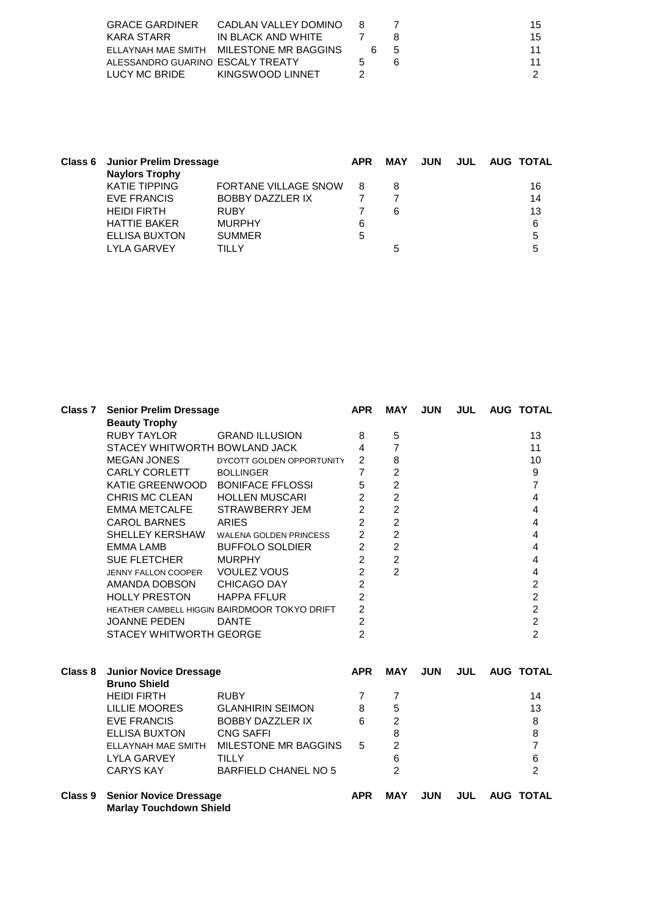| <b>GRACE GARDINER</b>            | CADLAN VALLEY DOMINO                    | 8            |   |                | 15. |
|----------------------------------|-----------------------------------------|--------------|---|----------------|-----|
| KARA STARR                       | IN BLACK AND WHITE                      |              |   |                | 15  |
|                                  | FILAYNAH MAF SMITH MILESTONE MR BAGGINS |              | 6 | $\overline{5}$ |     |
| ALESSANDRO GUARINO ESCALY TREATY |                                         | $\mathbf{r}$ |   | ĥ              |     |
| LUCY MC BRIDE                    | KINGSWOOD LINNET                        |              |   |                |     |

| <b>Naylors Trophy</b> |                             | <b>APR</b>                            | MAY | <b>JUN</b> |  |               |
|-----------------------|-----------------------------|---------------------------------------|-----|------------|--|---------------|
| <b>KATIE TIPPING</b>  | <b>FORTANE VILLAGE SNOW</b> | 8                                     | 8   |            |  | 16            |
| EVE FRANCIS           | <b>BOBBY DAZZLER IX</b>     |                                       |     |            |  | 14            |
| <b>HEIDI FIRTH</b>    | <b>RUBY</b>                 |                                       | 6   |            |  | 13            |
| <b>HATTIE BAKER</b>   | <b>MURPHY</b>               | 6                                     |     |            |  | 6             |
| <b>ELLISA BUXTON</b>  | <b>SUMMER</b>               | 5                                     |     |            |  | 5             |
| <b>LYLA GARVEY</b>    | TILLY                       |                                       | 5   |            |  | 5             |
|                       |                             | <b>Class 6 Junior Prelim Dressage</b> |     |            |  | JUL AUG TOTAL |

| Class <sub>7</sub> | <b>Senior Prelim Dressage</b>                                   |                               | <b>APR</b>     | <b>MAY</b>     | <b>JUN</b> | <b>JUL</b> | <b>AUG TOTAL</b>        |
|--------------------|-----------------------------------------------------------------|-------------------------------|----------------|----------------|------------|------------|-------------------------|
|                    | <b>Beauty Trophy</b>                                            |                               |                |                |            |            |                         |
|                    | <b>RUBY TAYLOR</b>                                              | <b>GRAND ILLUSION</b>         | 8              | 5              |            |            | 13                      |
|                    | STACEY WHITWORTH BOWLAND JACK                                   |                               | 4              | $\overline{7}$ |            |            | 11                      |
|                    | <b>MEGAN JONES</b>                                              | DYCOTT GOLDEN OPPORTUNITY     | $\overline{2}$ | 8              |            |            | 10                      |
|                    | <b>CARLY CORLETT</b>                                            | <b>BOLLINGER</b>              | 7              | $\overline{c}$ |            |            | 9                       |
|                    | KATIE GREENWOOD                                                 | <b>BONIFACE FFLOSSI</b>       | 5              | $\overline{2}$ |            |            | $\overline{7}$          |
|                    | CHRIS MC CLEAN                                                  | <b>HOLLEN MUSCARI</b>         | $\overline{2}$ | $\overline{c}$ |            |            | 4                       |
|                    | <b>EMMA METCALFE</b>                                            | STRAWBERRY JEM                | $\overline{2}$ | $\overline{c}$ |            |            | $\overline{\mathbf{4}}$ |
|                    | <b>CAROL BARNES</b>                                             | <b>ARIES</b>                  | $\overline{2}$ | $\overline{2}$ |            |            | $\overline{\mathbf{4}}$ |
|                    | SHELLEY KERSHAW                                                 | <b>WALENA GOLDEN PRINCESS</b> | $\overline{2}$ | $\overline{c}$ |            |            | 4                       |
|                    | <b>EMMA LAMB</b>                                                | <b>BUFFOLO SOLDIER</b>        | $\overline{2}$ | $\overline{c}$ |            |            | 4                       |
|                    | <b>SUE FLETCHER</b>                                             | <b>MURPHY</b>                 | $\overline{2}$ | $\overline{2}$ |            |            | 4                       |
|                    | <b>JENNY FALLON COOPER</b>                                      | <b>VOULEZ VOUS</b>            | $\overline{2}$ | $\overline{2}$ |            |            | 4                       |
|                    | AMANDA DOBSON                                                   | CHICAGO DAY                   | $\overline{2}$ |                |            |            | $\overline{c}$          |
|                    | <b>HOLLY PRESTON</b>                                            | <b>HAPPA FFLUR</b>            | $\overline{2}$ |                |            |            | $\overline{2}$          |
|                    | HEATHER CAMBELL HIGGIN BAIRDMOOR TOKYO DRIFT                    |                               | $\overline{2}$ |                |            |            | $\frac{2}{2}$           |
|                    | <b>JOANNE PEDEN</b>                                             | <b>DANTE</b>                  | $\overline{2}$ |                |            |            |                         |
|                    | STACEY WHITWORTH GEORGE                                         |                               | $\overline{2}$ |                |            |            | $\overline{2}$          |
| Class 8            | <b>Junior Novice Dressage</b>                                   |                               | <b>APR</b>     | <b>MAY</b>     | <b>JUN</b> | <b>JUL</b> | <b>AUG TOTAL</b>        |
|                    | <b>Bruno Shield</b>                                             |                               |                |                |            |            |                         |
|                    | <b>HEIDI FIRTH</b>                                              | <b>RUBY</b>                   | 7              | 7              |            |            | 14                      |
|                    | <b>LILLIE MOORES</b>                                            | <b>GLANHIRIN SEIMON</b>       | 8              | 5              |            |            | 13                      |
|                    | <b>EVE FRANCIS</b>                                              | <b>BOBBY DAZZLER IX</b>       | 6              | $\overline{c}$ |            |            | $\bf 8$                 |
|                    | <b>ELLISA BUXTON</b>                                            | <b>CNG SAFFI</b>              |                | 8              |            |            | 8                       |
|                    | <b>ELLAYNAH MAE SMITH</b>                                       | MILESTONE MR BAGGINS          | 5              | $\overline{2}$ |            |            | $\overline{7}$          |
|                    | <b>LYLA GARVEY</b>                                              | <b>TILLY</b>                  |                | $6\phantom{a}$ |            |            | 6                       |
|                    | <b>CARYS KAY</b>                                                | <b>BARFIELD CHANEL NO 5</b>   |                | $\overline{2}$ |            |            | $\overline{2}$          |
| Class 9            | <b>Senior Novice Dressage</b><br><b>Marlay Touchdown Shield</b> |                               | <b>APR</b>     | <b>MAY</b>     | <b>JUN</b> | <b>JUL</b> | <b>AUG TOTAL</b>        |